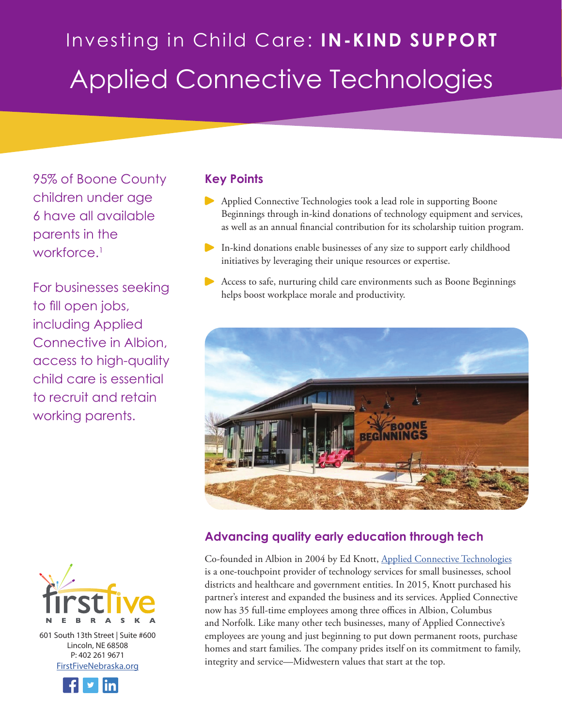# Investing in Child Care: **IN-KIND SUPPORT** Applied Connective Technologies

95% of Boone County children under age 6 have all available parents in the workforce.<sup>1</sup>

For businesses seeking to fill open jobs, including Applied Connective in Albion, access to high-quality child care is essential to recruit and retain working parents.



601 South 13th Street | Suite #600 Lincoln, NE 68508 P: 402 261 9671 [FirstFiveNebraska.org](http://www.firstfivenebraska.org)



### **Key Points**

- Applied Connective Technologies took a lead role in supporting Boone Beginnings through in-kind donations of technology equipment and services, as well as an annual financial contribution for its scholarship tuition program.
- In-kind donations enable businesses of any size to support early childhood initiatives by leveraging their unique resources or expertise.
- Access to safe, nurturing child care environments such as Boone Beginnings helps boost workplace morale and productivity.



#### **Advancing quality early education through tech**

Co-founded in Albion in 2004 by Ed Knott, [Applied Connective Technologies](https://www.appliedconnective.com) is a one-touchpoint provider of technology services for small businesses, school districts and healthcare and government entities. In 2015, Knott purchased his partner's interest and expanded the business and its services. Applied Connective now has 35 full-time employees among three offices in Albion, Columbus and Norfolk. Like many other tech businesses, many of Applied Connective's employees are young and just beginning to put down permanent roots, purchase homes and start families. The company prides itself on its commitment to family, integrity and service—Midwestern values that start at the top.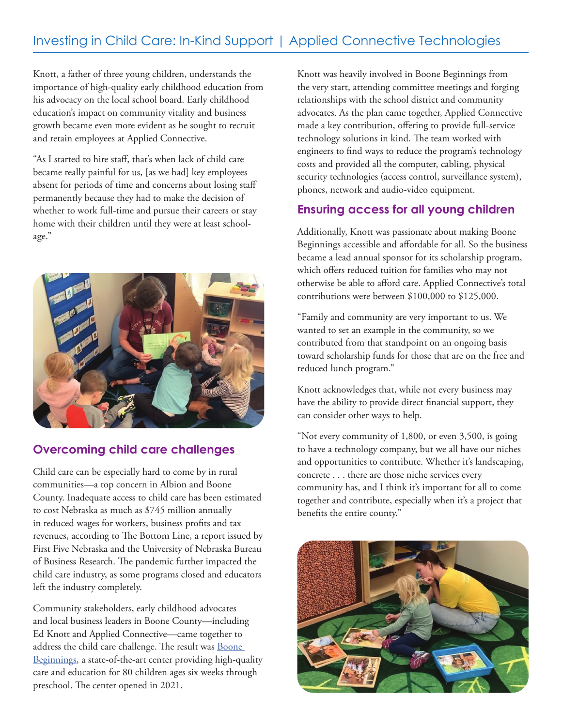## Investing in Child Care: In-Kind Support | Applied Connective Technologies

Knott, a father of three young children, understands the importance of high-quality early childhood education from his advocacy on the local school board. Early childhood education's impact on community vitality and business growth became even more evident as he sought to recruit and retain employees at Applied Connective.

"As I started to hire staff, that's when lack of child care became really painful for us, [as we had] key employees absent for periods of time and concerns about losing staff permanently because they had to make the decision of whether to work full-time and pursue their careers or stay home with their children until they were at least schoolage."



#### **Overcoming child care challenges**

Child care can be especially hard to come by in rural communities—a top concern in Albion and Boone County. Inadequate access to child care has been estimated to cost Nebraska as much as \$745 million annually in reduced wages for workers, business profits and tax revenues, according to The Bottom Line, a report issued by First Five Nebraska and the University of Nebraska Bureau of Business Research. The pandemic further impacted the child care industry, as some programs closed and educators left the industry completely.

Community stakeholders, early childhood advocates and local business leaders in Boone County—including Ed Knott and Applied Connective—came together to address the child care challenge. The result was [Boone](http://www.boonebeginnings.com)  [Beginnings](http://www.boonebeginnings.com), a state-of-the-art center providing high-quality care and education for 80 children ages six weeks through preschool. The center opened in 2021.

Knott was heavily involved in Boone Beginnings from the very start, attending committee meetings and forging relationships with the school district and community advocates. As the plan came together, Applied Connective made a key contribution, offering to provide full-service technology solutions in kind. The team worked with engineers to find ways to reduce the program's technology costs and provided all the computer, cabling, physical security technologies (access control, surveillance system), phones, network and audio-video equipment.

#### **Ensuring access for all young children**

Additionally, Knott was passionate about making Boone Beginnings accessible and affordable for all. So the business became a lead annual sponsor for its scholarship program, which offers reduced tuition for families who may not otherwise be able to afford care. Applied Connective's total contributions were between \$100,000 to \$125,000.

"Family and community are very important to us. We wanted to set an example in the community, so we contributed from that standpoint on an ongoing basis toward scholarship funds for those that are on the free and reduced lunch program."

Knott acknowledges that, while not every business may have the ability to provide direct financial support, they can consider other ways to help.

"Not every community of 1,800, or even 3,500, is going to have a technology company, but we all have our niches and opportunities to contribute. Whether it's landscaping, concrete . . . there are those niche services every community has, and I think it's important for all to come together and contribute, especially when it's a project that benefits the entire county."